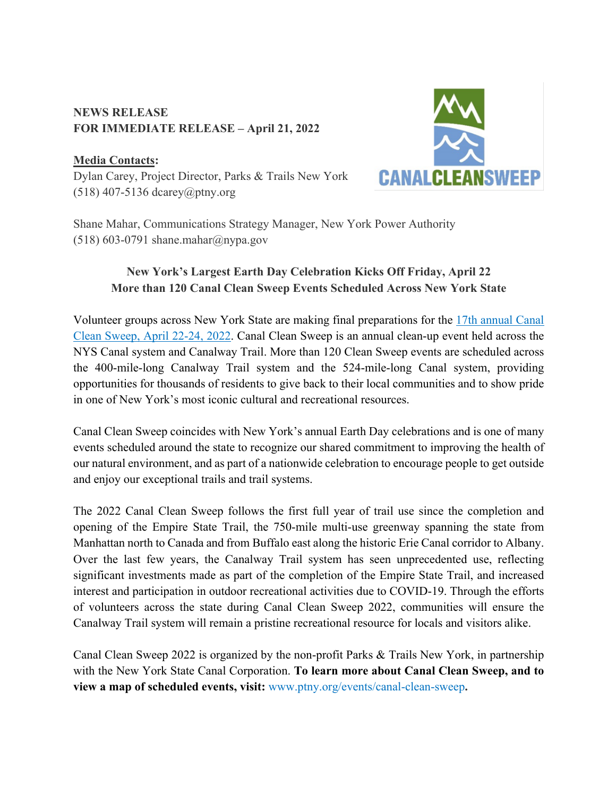### **NEWS RELEASE FOR IMMEDIATE RELEASE – April 21, 2022**

## **Media Contacts:**

Dylan Carey, Project Director, Parks & Trails New York (518) 407-5136 dcarey@ptny.org



Shane Mahar, Communications Strategy Manager, New York Power Authority (518) 603-0791 shane.mahar@nypa.gov

# **New York's Largest Earth Day Celebration Kicks Off Friday, April 22 More than 120 Canal Clean Sweep Events Scheduled Across New York State**

Volunteer groups across New York State are making final preparations for the 17th annual Canal Clean Sweep, April 22-24, 2022. Canal Clean Sweep is an annual clean-up event held across the NYS Canal system and Canalway Trail. More than 120 Clean Sweep events are scheduled across the 400-mile-long Canalway Trail system and the 524-mile-long Canal system, providing opportunities for thousands of residents to give back to their local communities and to show pride in one of New York's most iconic cultural and recreational resources.

Canal Clean Sweep coincides with New York's annual Earth Day celebrations and is one of many events scheduled around the state to recognize our shared commitment to improving the health of our natural environment, and as part of a nationwide celebration to encourage people to get outside and enjoy our exceptional trails and trail systems.

The 2022 Canal Clean Sweep follows the first full year of trail use since the completion and opening of the Empire State Trail, the 750-mile multi-use greenway spanning the state from Manhattan north to Canada and from Buffalo east along the historic Erie Canal corridor to Albany. Over the last few years, the Canalway Trail system has seen unprecedented use, reflecting significant investments made as part of the completion of the Empire State Trail, and increased interest and participation in outdoor recreational activities due to COVID-19. Through the efforts of volunteers across the state during Canal Clean Sweep 2022, communities will ensure the Canalway Trail system will remain a pristine recreational resource for locals and visitors alike.

Canal Clean Sweep 2022 is organized by the non-profit Parks & Trails New York, in partnership with the New York State Canal Corporation. **To learn more about Canal Clean Sweep, and to view a map of scheduled events, visit:** www.ptny.org/events/canal-clean-sweep**.**